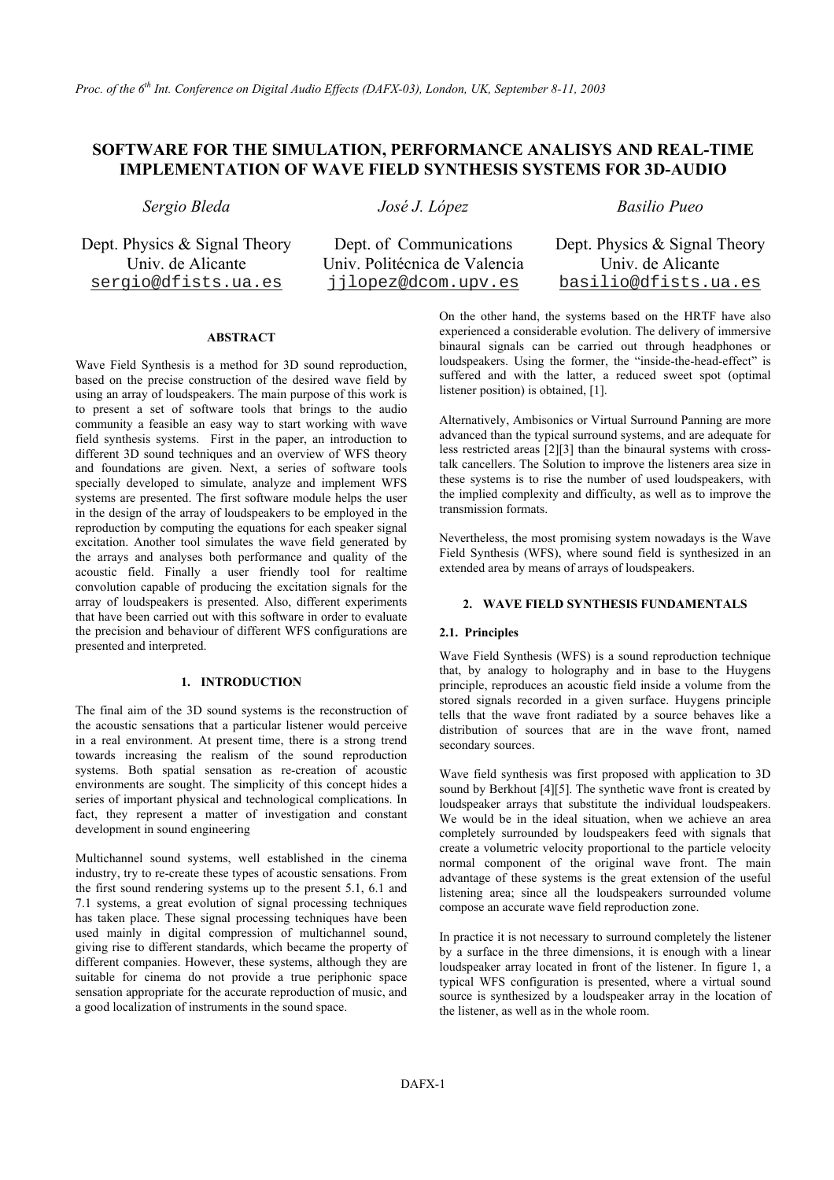# **SOFTWARE FOR THE SIMULATION, PERFORMANCE ANALISYS AND REAL-TIME IMPLEMENTATION OF WAVE FIELD SYNTHESIS SYSTEMS FOR 3D-AUDIO**

*Sergio Bleda José J. López Basilio Pueo* 

Univ. de Alicante Univ. Politécnica de Valencia Univ. de Alicante

Dept. Physics & Signal Theory Dept. of Communications Dept. Physics & Signal Theory sergio@dfists.ua.es jjlopez@dcom.upv.es basilio@dfists.ua.es

## **ABSTRACT**

Wave Field Synthesis is a method for 3D sound reproduction, based on the precise construction of the desired wave field by using an array of loudspeakers. The main purpose of this work is to present a set of software tools that brings to the audio community a feasible an easy way to start working with wave field synthesis systems. First in the paper, an introduction to different 3D sound techniques and an overview of WFS theory and foundations are given. Next, a series of software tools specially developed to simulate, analyze and implement WFS systems are presented. The first software module helps the user in the design of the array of loudspeakers to be employed in the reproduction by computing the equations for each speaker signal excitation. Another tool simulates the wave field generated by the arrays and analyses both performance and quality of the acoustic field. Finally a user friendly tool for realtime convolution capable of producing the excitation signals for the array of loudspeakers is presented. Also, different experiments that have been carried out with this software in order to evaluate the precision and behaviour of different WFS configurations are presented and interpreted.

### **1. INTRODUCTION**

The final aim of the 3D sound systems is the reconstruction of the acoustic sensations that a particular listener would perceive in a real environment. At present time, there is a strong trend towards increasing the realism of the sound reproduction systems. Both spatial sensation as re-creation of acoustic environments are sought. The simplicity of this concept hides a series of important physical and technological complications. In fact, they represent a matter of investigation and constant development in sound engineering

Multichannel sound systems, well established in the cinema industry, try to re-create these types of acoustic sensations. From the first sound rendering systems up to the present 5.1, 6.1 and 7.1 systems, a great evolution of signal processing techniques has taken place. These signal processing techniques have been used mainly in digital compression of multichannel sound, giving rise to different standards, which became the property of different companies. However, these systems, although they are suitable for cinema do not provide a true periphonic space sensation appropriate for the accurate reproduction of music, and a good localization of instruments in the sound space.

On the other hand, the systems based on the HRTF have also experienced a considerable evolution. The delivery of immersive binaural signals can be carried out through headphones or loudspeakers. Using the former, the "inside-the-head-effect" is suffered and with the latter, a reduced sweet spot (optimal listener position) is obtained, [1].

Alternatively, Ambisonics or Virtual Surround Panning are more advanced than the typical surround systems, and are adequate for less restricted areas [2][3] than the binaural systems with crosstalk cancellers. The Solution to improve the listeners area size in these systems is to rise the number of used loudspeakers, with the implied complexity and difficulty, as well as to improve the transmission formats.

Nevertheless, the most promising system nowadays is the Wave Field Synthesis (WFS), where sound field is synthesized in an extended area by means of arrays of loudspeakers.

### **2. WAVE FIELD SYNTHESIS FUNDAMENTALS**

#### **2.1. Principles**

Wave Field Synthesis (WFS) is a sound reproduction technique that, by analogy to holography and in base to the Huygens principle, reproduces an acoustic field inside a volume from the stored signals recorded in a given surface. Huygens principle tells that the wave front radiated by a source behaves like a distribution of sources that are in the wave front, named secondary sources.

Wave field synthesis was first proposed with application to 3D sound by Berkhout [4][5]. The synthetic wave front is created by loudspeaker arrays that substitute the individual loudspeakers. We would be in the ideal situation, when we achieve an area completely surrounded by loudspeakers feed with signals that create a volumetric velocity proportional to the particle velocity normal component of the original wave front. The main advantage of these systems is the great extension of the useful listening area; since all the loudspeakers surrounded volume compose an accurate wave field reproduction zone.

In practice it is not necessary to surround completely the listener by a surface in the three dimensions, it is enough with a linear loudspeaker array located in front of the listener. In figure 1, a typical WFS configuration is presented, where a virtual sound source is synthesized by a loudspeaker array in the location of the listener, as well as in the whole room.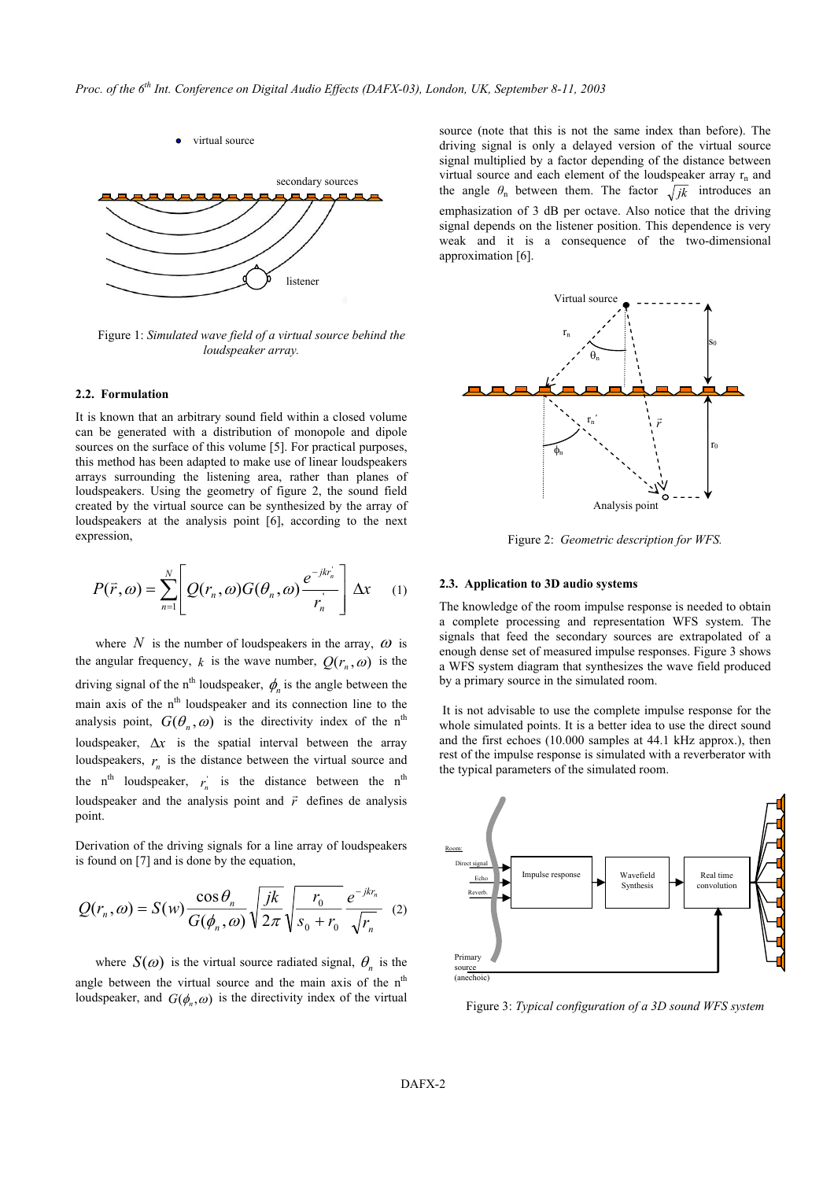

Figure 1: *Simulated wave field of a virtual source behind the loudspeaker array.* 

#### **2.2. Formulation**

It is known that an arbitrary sound field within a closed volume can be generated with a distribution of monopole and dipole sources on the surface of this volume [5]. For practical purposes, this method has been adapted to make use of linear loudspeakers arrays surrounding the listening area, rather than planes of loudspeakers. Using the geometry of figure 2, the sound field created by the virtual source can be synthesized by the array of loudspeakers at the analysis point [6], according to the next expression,

$$
P(\vec{r},\omega) = \sum_{n=1}^{N} \left[ Q(r_n,\omega) G(\theta_n,\omega) \frac{e^{-jkr'_n}}{r'_n} \right] \Delta x \quad (1)
$$

where N is the number of loudspeakers in the array,  $\omega$  is the angular frequency, *k* is the wave number,  $Q(r_n, \omega)$  is the driving signal of the n<sup>th</sup> loudspeaker,  $\phi_n$  is the angle between the main axis of the n<sup>th</sup> loudspeaker and its connection line to the analysis point,  $G(\theta_n, \omega)$  is the directivity index of the n<sup>th</sup> loudspeaker, ∆*x* is the spatial interval between the array loudspeakers,  $r_n$  is the distance between the virtual source and the  $n^{\text{th}}$  loudspeaker,  $r_n^{\text{th}}$  is the distance between the  $n^{\text{th}}$ loudspeaker and the analysis point and  $\vec{r}$  defines de analysis point.

Derivation of the driving signals for a line array of loudspeakers is found on [7] and is done by the equation,

$$
Q(r_n, \omega) = S(w) \frac{\cos \theta_n}{G(\phi_n, \omega)} \sqrt{\frac{jk}{2\pi}} \sqrt{\frac{r_0}{s_0 + r_0}} \frac{e^{-jkr_n}}{\sqrt{r_n}} \quad (2)
$$

where  $S(\omega)$  is the virtual source radiated signal,  $\theta_n$  is the angle between the virtual source and the main axis of the n<sup>th</sup> loudspeaker, and  $G(\phi_n, \omega)$  is the directivity index of the virtual source (note that this is not the same index than before). The driving signal is only a delayed version of the virtual source signal multiplied by a factor depending of the distance between virtual source and each element of the loudspeaker array  $r_n$  and the angle  $\theta_n$  between them. The factor  $\sqrt{jk}$  introduces an emphasization of 3 dB per octave. Also notice that the driving signal depends on the listener position. This dependence is very weak and it is a consequence of the two-dimensional approximation [6].



Figure 2: *Geometric description for WFS.*

#### **2.3. Application to 3D audio systems**

The knowledge of the room impulse response is needed to obtain a complete processing and representation WFS system. The signals that feed the secondary sources are extrapolated of a enough dense set of measured impulse responses. Figure 3 shows a WFS system diagram that synthesizes the wave field produced by a primary source in the simulated room.

 It is not advisable to use the complete impulse response for the whole simulated points. It is a better idea to use the direct sound and the first echoes (10.000 samples at 44.1 kHz approx.), then rest of the impulse response is simulated with a reverberator with the typical parameters of the simulated room.



Figure 3: *Typical configuration of a 3D sound WFS system*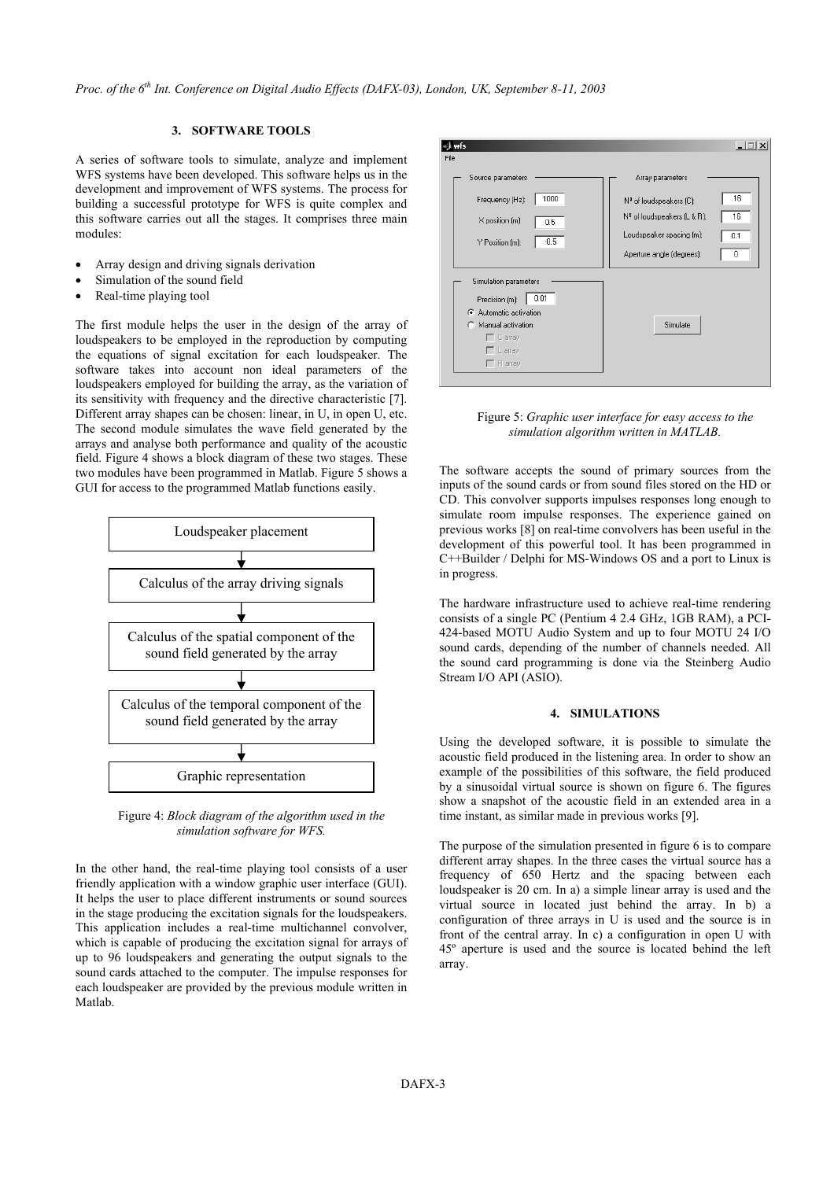*Proc. of the 6th Int. Conference on Digital Audio Effects (DAFX-03), London, UK, September 8-11, 2003* 

## **3. SOFTWARE TOOLS**

A series of software tools to simulate, analyze and implement WFS systems have been developed. This software helps us in the development and improvement of WFS systems. The process for building a successful prototype for WFS is quite complex and this software carries out all the stages. It comprises three main modules:

- Array design and driving signals derivation
- Simulation of the sound field
- Real-time playing tool

The first module helps the user in the design of the array of loudspeakers to be employed in the reproduction by computing the equations of signal excitation for each loudspeaker. The software takes into account non ideal parameters of the loudspeakers employed for building the array, as the variation of its sensitivity with frequency and the directive characteristic [7]. Different array shapes can be chosen: linear, in U, in open U, etc. The second module simulates the wave field generated by the arrays and analyse both performance and quality of the acoustic field. Figure 4 shows a block diagram of these two stages. These two modules have been programmed in Matlab. Figure 5 shows a GUI for access to the programmed Matlab functions easily.



Figure 4: *Block diagram of the algorithm used in the simulation software for WFS.* 

In the other hand, the real-time playing tool consists of a user friendly application with a window graphic user interface (GUI). It helps the user to place different instruments or sound sources in the stage producing the excitation signals for the loudspeakers. This application includes a real-time multichannel convolver, which is capable of producing the excitation signal for arrays of up to 96 loudspeakers and generating the output signals to the sound cards attached to the computer. The impulse responses for each loudspeaker are provided by the previous module written in Matlab.



Figure 5: *Graphic user interface for easy access to the simulation algorithm written in MATLAB.*

The software accepts the sound of primary sources from the inputs of the sound cards or from sound files stored on the HD or CD. This convolver supports impulses responses long enough to simulate room impulse responses. The experience gained on previous works [8] on real-time convolvers has been useful in the development of this powerful tool. It has been programmed in C++Builder / Delphi for MS-Windows OS and a port to Linux is in progress.

The hardware infrastructure used to achieve real-time rendering consists of a single PC (Pentium 4 2.4 GHz, 1GB RAM), a PCI-424-based MOTU Audio System and up to four MOTU 24 I/O sound cards, depending of the number of channels needed. All the sound card programming is done via the Steinberg Audio Stream I/O API (ASIO).

### **4. SIMULATIONS**

Using the developed software, it is possible to simulate the acoustic field produced in the listening area. In order to show an example of the possibilities of this software, the field produced by a sinusoidal virtual source is shown on figure 6. The figures show a snapshot of the acoustic field in an extended area in a time instant, as similar made in previous works [9].

The purpose of the simulation presented in figure 6 is to compare different array shapes. In the three cases the virtual source has a frequency of 650 Hertz and the spacing between each loudspeaker is 20 cm. In a) a simple linear array is used and the virtual source in located just behind the array. In b) a configuration of three arrays in U is used and the source is in front of the central array. In c) a configuration in open U with 45º aperture is used and the source is located behind the left array.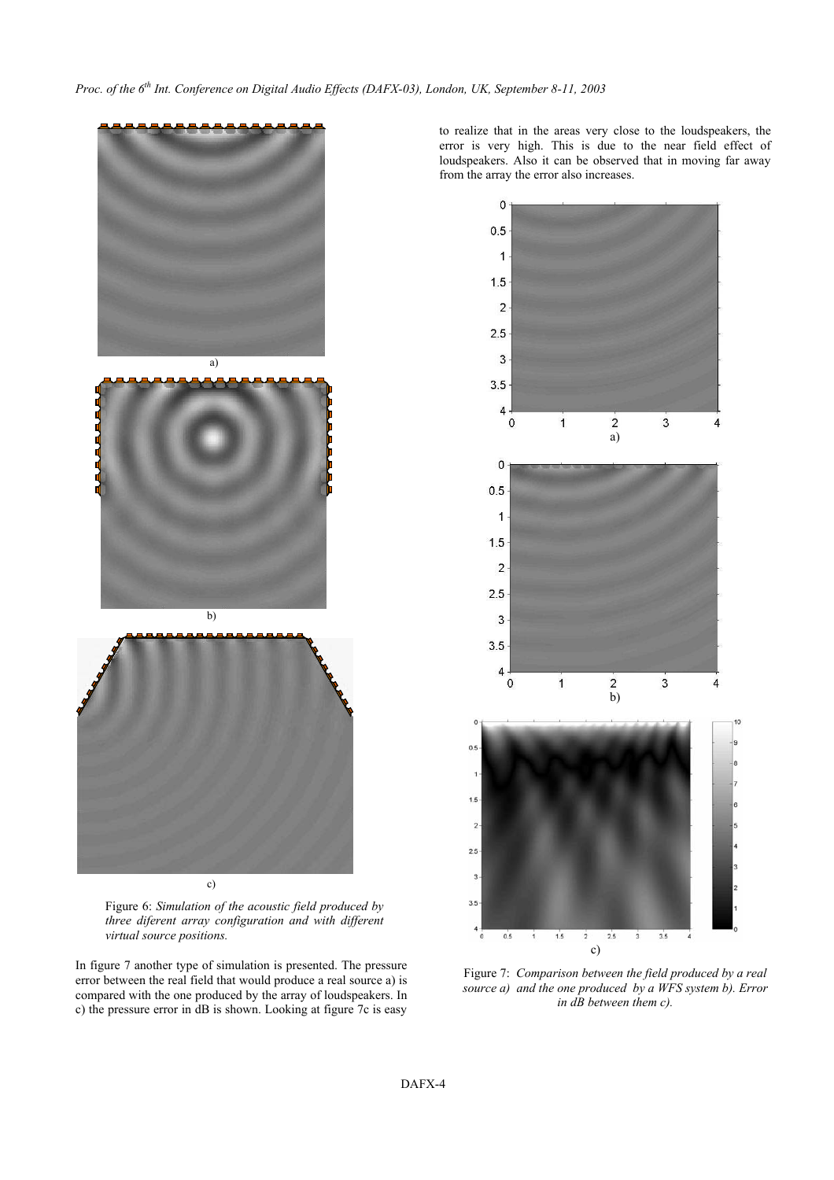







In figure 7 another type of simulation is presented. The pressure error between the real field that would produce a real source a) is compared with the one produced by the array of loudspeakers. In c) the pressure error in dB is shown. Looking at figure 7c is easy to realize that in the areas very close to the loudspeakers, the error is very high. This is due to the near field effect of loudspeakers. Also it can be observed that in moving far away from the array the error also increases.



Figure 7: *Comparison between the field produced by a real source a) and the one produced by a WFS system b). Error in dB between them c).*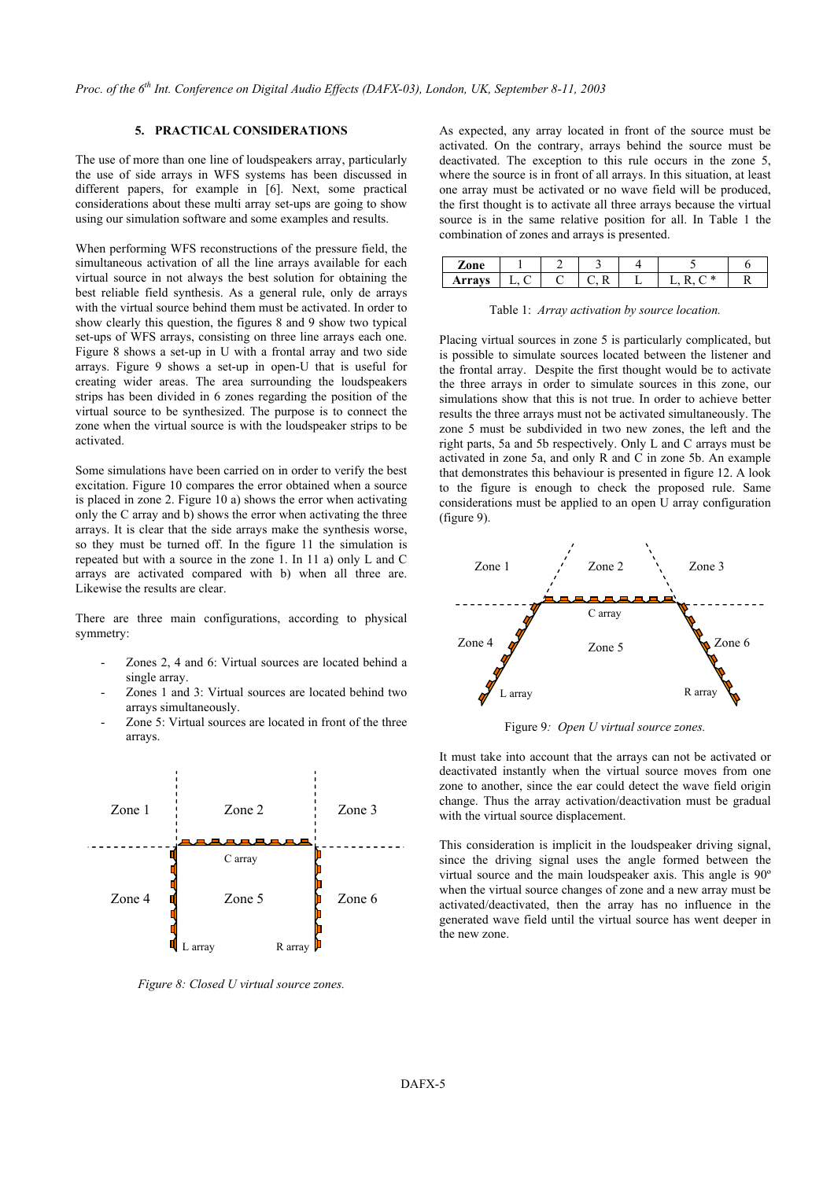## **5. PRACTICAL CONSIDERATIONS**

The use of more than one line of loudspeakers array, particularly the use of side arrays in WFS systems has been discussed in different papers, for example in [6]. Next, some practical considerations about these multi array set-ups are going to show using our simulation software and some examples and results.

When performing WFS reconstructions of the pressure field, the simultaneous activation of all the line arrays available for each virtual source in not always the best solution for obtaining the best reliable field synthesis. As a general rule, only de arrays with the virtual source behind them must be activated. In order to show clearly this question, the figures 8 and 9 show two typical set-ups of WFS arrays, consisting on three line arrays each one. Figure 8 shows a set-up in U with a frontal array and two side arrays. Figure 9 shows a set-up in open-U that is useful for creating wider areas. The area surrounding the loudspeakers strips has been divided in 6 zones regarding the position of the virtual source to be synthesized. The purpose is to connect the zone when the virtual source is with the loudspeaker strips to be activated.

Some simulations have been carried on in order to verify the best excitation. Figure 10 compares the error obtained when a source is placed in zone 2. Figure 10 a) shows the error when activating only the C array and b) shows the error when activating the three arrays. It is clear that the side arrays make the synthesis worse, so they must be turned off. In the figure 11 the simulation is repeated but with a source in the zone 1. In 11 a) only L and C arrays are activated compared with b) when all three are. Likewise the results are clear.

There are three main configurations, according to physical symmetry:

- Zones 2, 4 and 6: Virtual sources are located behind a single array.
- Zones 1 and 3: Virtual sources are located behind two arrays simultaneously.
- Zone 5: Virtual sources are located in front of the three arrays.



*Figure 8: Closed U virtual source zones.* 

As expected, any array located in front of the source must be activated. On the contrary, arrays behind the source must be deactivated. The exception to this rule occurs in the zone 5, where the source is in front of all arrays. In this situation, at least one array must be activated or no wave field will be produced, the first thought is to activate all three arrays because the virtual source is in the same relative position for all. In Table 1 the combination of zones and arrays is presented.

| $\mathbf{a} \mathbf{n} \mathbf{a}$ |  |     |          |  |
|------------------------------------|--|-----|----------|--|
|                                    |  | . . | -14<br>- |  |

Table 1: *Array activation by source location.* 

Placing virtual sources in zone 5 is particularly complicated, but is possible to simulate sources located between the listener and the frontal array. Despite the first thought would be to activate the three arrays in order to simulate sources in this zone, our simulations show that this is not true. In order to achieve better results the three arrays must not be activated simultaneously. The zone 5 must be subdivided in two new zones, the left and the right parts, 5a and 5b respectively. Only L and C arrays must be activated in zone 5a, and only R and C in zone 5b. An example that demonstrates this behaviour is presented in figure 12. A look to the figure is enough to check the proposed rule. Same considerations must be applied to an open U array configuration (figure 9).



Figure 9*: Open U virtual source zones.* 

It must take into account that the arrays can not be activated or deactivated instantly when the virtual source moves from one zone to another, since the ear could detect the wave field origin change. Thus the array activation/deactivation must be gradual with the virtual source displacement.

This consideration is implicit in the loudspeaker driving signal, since the driving signal uses the angle formed between the virtual source and the main loudspeaker axis. This angle is 90º when the virtual source changes of zone and a new array must be activated/deactivated, then the array has no influence in the generated wave field until the virtual source has went deeper in the new zone.